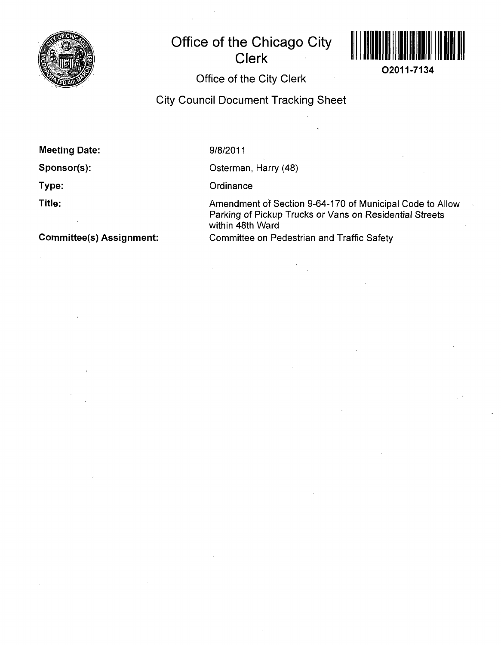

# **Office of the Chicago City Clerk**



**02011-7134** 

# **Office of the City Clerk**

**City Council Document Tracking Sheet** 

**Meeting Date:** 

**Sponsor(s):** 

**Type:** 

**Title:** 

9/8/2011

Osterman, Harry (48)

**Ordinance** 

Amendment of Section 9-64-170 of Municipal Code to Allow Parking of Pickup Trucks or Vans on Residential Streets within 48th Ward Committee on Pedestrian and Traffic Safety

**Committee(s) Assignment:**